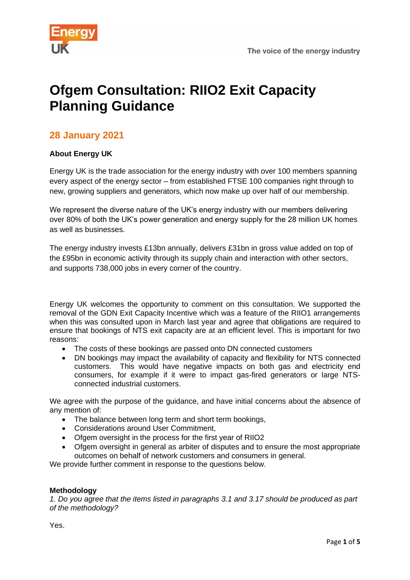

# **Ofgem Consultation: RIIO2 Exit Capacity Planning Guidance**

# **28 January 2021**

# **About Energy UK**

Energy UK is the trade association for the energy industry with over 100 members spanning every aspect of the energy sector – from established FTSE 100 companies right through to new, growing suppliers and generators, which now make up over half of our membership.

We represent the diverse nature of the UK's energy industry with our members delivering over 80% of both the UK's power generation and energy supply for the 28 million UK homes as well as businesses.

The energy industry invests £13bn annually, delivers £31bn in gross value added on top of the £95bn in economic activity through its supply chain and interaction with other sectors, and supports 738,000 jobs in every corner of the country.

Energy UK welcomes the opportunity to comment on this consultation. We supported the removal of the GDN Exit Capacity Incentive which was a feature of the RIIO1 arrangements when this was consulted upon in March last year and agree that obligations are required to ensure that bookings of NTS exit capacity are at an efficient level. This is important for two reasons:

- The costs of these bookings are passed onto DN connected customers
- DN bookings may impact the availability of capacity and flexibility for NTS connected customers. This would have negative impacts on both gas and electricity end consumers, for example if it were to impact gas-fired generators or large NTSconnected industrial customers.

We agree with the purpose of the guidance, and have initial concerns about the absence of any mention of:

- The balance between long term and short term bookings,
- Considerations around User Commitment,
- Ofgem oversight in the process for the first year of RIIO2
- Ofgem oversight in general as arbiter of disputes and to ensure the most appropriate outcomes on behalf of network customers and consumers in general.

We provide further comment in response to the questions below.

## **Methodology**

*1. Do you agree that the items listed in paragraphs 3.1 and 3.17 should be produced as part of the methodology?*

Yes.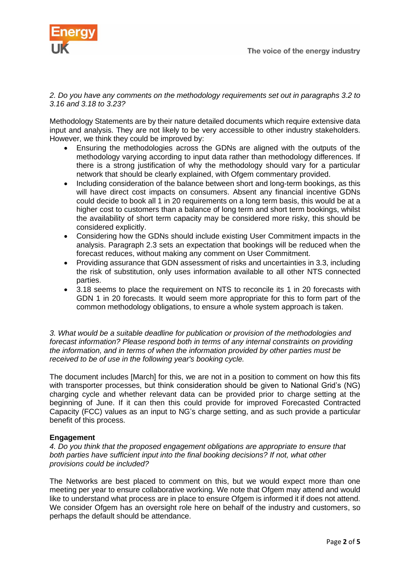

*2. Do you have any comments on the methodology requirements set out in paragraphs 3.2 to 3.16 and 3.18 to 3.23?*

Methodology Statements are by their nature detailed documents which require extensive data input and analysis. They are not likely to be very accessible to other industry stakeholders. However, we think they could be improved by:

- Ensuring the methodologies across the GDNs are aligned with the outputs of the methodology varying according to input data rather than methodology differences. If there is a strong justification of why the methodology should vary for a particular network that should be clearly explained, with Ofgem commentary provided.
- Including consideration of the balance between short and long-term bookings, as this will have direct cost impacts on consumers. Absent any financial incentive GDNs could decide to book all 1 in 20 requirements on a long term basis, this would be at a higher cost to customers than a balance of long term and short term bookings, whilst the availability of short term capacity may be considered more risky, this should be considered explicitly.
- Considering how the GDNs should include existing User Commitment impacts in the analysis. Paragraph 2.3 sets an expectation that bookings will be reduced when the forecast reduces, without making any comment on User Commitment.
- Providing assurance that GDN assessment of risks and uncertainties in 3.3, including the risk of substitution, only uses information available to all other NTS connected parties.
- 3.18 seems to place the requirement on NTS to reconcile its 1 in 20 forecasts with GDN 1 in 20 forecasts. It would seem more appropriate for this to form part of the common methodology obligations, to ensure a whole system approach is taken.

*3. What would be a suitable deadline for publication or provision of the methodologies and forecast information? Please respond both in terms of any internal constraints on providing the information, and in terms of when the information provided by other parties must be received to be of use in the following year's booking cycle.*

The document includes [March] for this, we are not in a position to comment on how this fits with transporter processes, but think consideration should be given to National Grid's (NG) charging cycle and whether relevant data can be provided prior to charge setting at the beginning of June. If it can then this could provide for improved Forecasted Contracted Capacity (FCC) values as an input to NG's charge setting, and as such provide a particular benefit of this process.

## **Engagement**

*4. Do you think that the proposed engagement obligations are appropriate to ensure that both parties have sufficient input into the final booking decisions? If not, what other provisions could be included?*

The Networks are best placed to comment on this, but we would expect more than one meeting per year to ensure collaborative working. We note that Ofgem may attend and would like to understand what process are in place to ensure Ofgem is informed it if does not attend. We consider Ofgem has an oversight role here on behalf of the industry and customers, so perhaps the default should be attendance.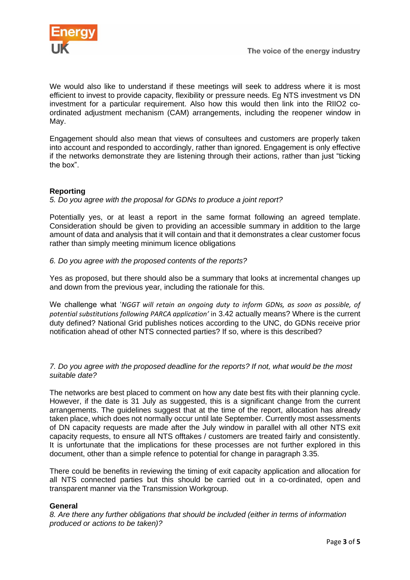

We would also like to understand if these meetings will seek to address where it is most efficient to invest to provide capacity, flexibility or pressure needs. Eg NTS investment vs DN investment for a particular requirement. Also how this would then link into the RIIO2 coordinated adjustment mechanism (CAM) arrangements, including the reopener window in May.

Engagement should also mean that views of consultees and customers are properly taken into account and responded to accordingly, rather than ignored. Engagement is only effective if the networks demonstrate they are listening through their actions, rather than just "ticking the box".

# **Reporting**

## *5. Do you agree with the proposal for GDNs to produce a joint report?*

Potentially yes, or at least a report in the same format following an agreed template. Consideration should be given to providing an accessible summary in addition to the large amount of data and analysis that it will contain and that it demonstrates a clear customer focus rather than simply meeting minimum licence obligations

## *6. Do you agree with the proposed contents of the reports?*

Yes as proposed, but there should also be a summary that looks at incremental changes up and down from the previous year, including the rationale for this.

We challenge what '*NGGT will retain an ongoing duty to inform GDNs, as soon as possible, of potential substitutions following PARCA application'* in 3.42 actually means? Where is the current duty defined? National Grid publishes notices according to the UNC, do GDNs receive prior notification ahead of other NTS connected parties? If so, where is this described?

*7. Do you agree with the proposed deadline for the reports? If not, what would be the most suitable date?*

The networks are best placed to comment on how any date best fits with their planning cycle. However, if the date is 31 July as suggested, this is a significant change from the current arrangements. The guidelines suggest that at the time of the report, allocation has already taken place, which does not normally occur until late September. Currently most assessments of DN capacity requests are made after the July window in parallel with all other NTS exit capacity requests, to ensure all NTS offtakes / customers are treated fairly and consistently. It is unfortunate that the implications for these processes are not further explored in this document, other than a simple refence to potential for change in paragraph 3.35.

There could be benefits in reviewing the timing of exit capacity application and allocation for all NTS connected parties but this should be carried out in a co-ordinated, open and transparent manner via the Transmission Workgroup.

## **General**

*8. Are there any further obligations that should be included (either in terms of information produced or actions to be taken)?*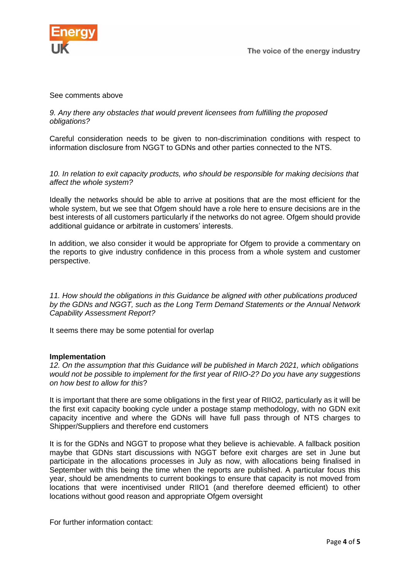

#### See comments above

#### *9. Any there any obstacles that would prevent licensees from fulfilling the proposed obligations?*

Careful consideration needs to be given to non-discrimination conditions with respect to information disclosure from NGGT to GDNs and other parties connected to the NTS.

*10. In relation to exit capacity products, who should be responsible for making decisions that affect the whole system?*

Ideally the networks should be able to arrive at positions that are the most efficient for the whole system, but we see that Ofgem should have a role here to ensure decisions are in the best interests of all customers particularly if the networks do not agree. Ofgem should provide additional guidance or arbitrate in customers' interests.

In addition, we also consider it would be appropriate for Ofgem to provide a commentary on the reports to give industry confidence in this process from a whole system and customer perspective.

*11. How should the obligations in this Guidance be aligned with other publications produced by the GDNs and NGGT, such as the Long Term Demand Statements or the Annual Network Capability Assessment Report?*

It seems there may be some potential for overlap

#### **Implementation**

*12. On the assumption that this Guidance will be published in March 2021, which obligations would not be possible to implement for the first year of RIIO-2? Do you have any suggestions on how best to allow for this*?

It is important that there are some obligations in the first year of RIIO2, particularly as it will be the first exit capacity booking cycle under a postage stamp methodology, with no GDN exit capacity incentive and where the GDNs will have full pass through of NTS charges to Shipper/Suppliers and therefore end customers

It is for the GDNs and NGGT to propose what they believe is achievable. A fallback position maybe that GDNs start discussions with NGGT before exit charges are set in June but participate in the allocations processes in July as now, with allocations being finalised in September with this being the time when the reports are published. A particular focus this year, should be amendments to current bookings to ensure that capacity is not moved from locations that were incentivised under RIIO1 (and therefore deemed efficient) to other locations without good reason and appropriate Ofgem oversight

For further information contact: